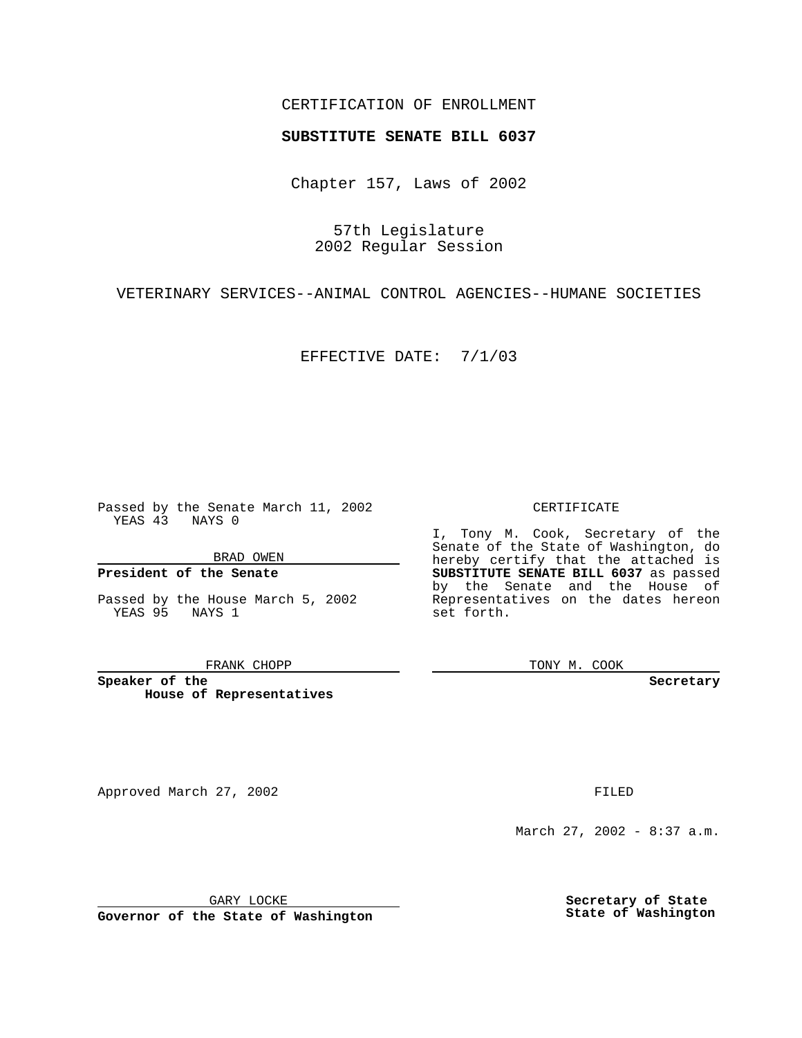## CERTIFICATION OF ENROLLMENT

# **SUBSTITUTE SENATE BILL 6037**

Chapter 157, Laws of 2002

57th Legislature 2002 Regular Session

VETERINARY SERVICES--ANIMAL CONTROL AGENCIES--HUMANE SOCIETIES

EFFECTIVE DATE: 7/1/03

Passed by the Senate March 11, 2002 YEAS 43 NAYS 0

BRAD OWEN

## **President of the Senate**

Passed by the House March 5, 2002 YEAS 95 NAYS 1

#### FRANK CHOPP

**Speaker of the House of Representatives**

Approved March 27, 2002 **FILED** 

#### CERTIFICATE

I, Tony M. Cook, Secretary of the Senate of the State of Washington, do hereby certify that the attached is **SUBSTITUTE SENATE BILL 6037** as passed by the Senate and the House of Representatives on the dates hereon set forth.

TONY M. COOK

**Secretary**

March 27, 2002 - 8:37 a.m.

GARY LOCKE

**Governor of the State of Washington**

**Secretary of State State of Washington**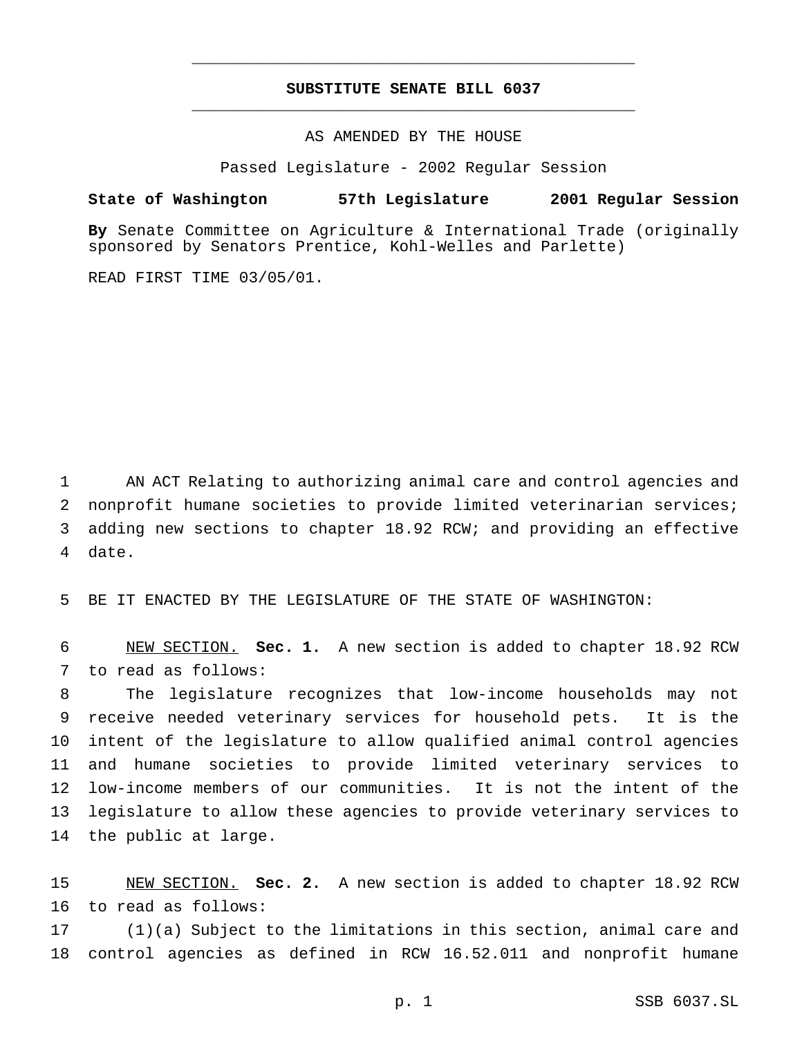## **SUBSTITUTE SENATE BILL 6037** \_\_\_\_\_\_\_\_\_\_\_\_\_\_\_\_\_\_\_\_\_\_\_\_\_\_\_\_\_\_\_\_\_\_\_\_\_\_\_\_\_\_\_\_\_\_\_

\_\_\_\_\_\_\_\_\_\_\_\_\_\_\_\_\_\_\_\_\_\_\_\_\_\_\_\_\_\_\_\_\_\_\_\_\_\_\_\_\_\_\_\_\_\_\_

AS AMENDED BY THE HOUSE

Passed Legislature - 2002 Regular Session

### **State of Washington 57th Legislature 2001 Regular Session**

**By** Senate Committee on Agriculture & International Trade (originally sponsored by Senators Prentice, Kohl-Welles and Parlette)

READ FIRST TIME 03/05/01.

 AN ACT Relating to authorizing animal care and control agencies and nonprofit humane societies to provide limited veterinarian services; adding new sections to chapter 18.92 RCW; and providing an effective date.

BE IT ENACTED BY THE LEGISLATURE OF THE STATE OF WASHINGTON:

 NEW SECTION. **Sec. 1.** A new section is added to chapter 18.92 RCW to read as follows:

 The legislature recognizes that low-income households may not receive needed veterinary services for household pets. It is the intent of the legislature to allow qualified animal control agencies and humane societies to provide limited veterinary services to low-income members of our communities. It is not the intent of the legislature to allow these agencies to provide veterinary services to the public at large.

 NEW SECTION. **Sec. 2.** A new section is added to chapter 18.92 RCW to read as follows:

 (1)(a) Subject to the limitations in this section, animal care and control agencies as defined in RCW 16.52.011 and nonprofit humane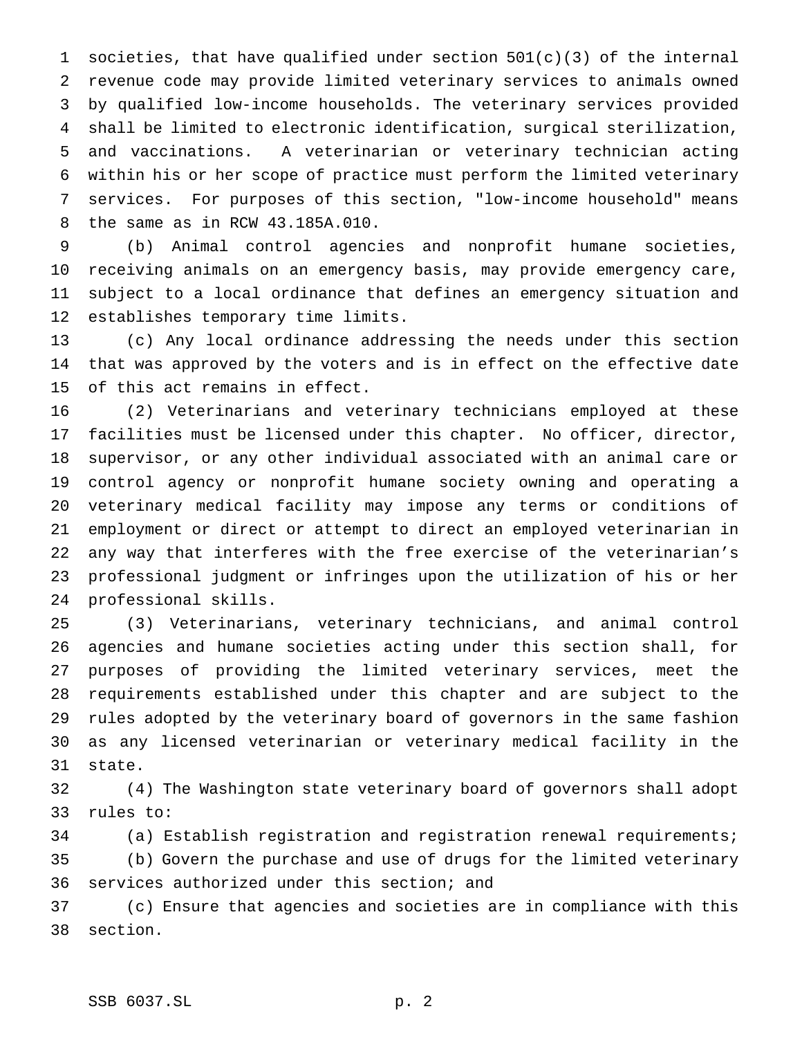societies, that have qualified under section 501(c)(3) of the internal revenue code may provide limited veterinary services to animals owned by qualified low-income households. The veterinary services provided shall be limited to electronic identification, surgical sterilization, and vaccinations. A veterinarian or veterinary technician acting within his or her scope of practice must perform the limited veterinary services. For purposes of this section, "low-income household" means the same as in RCW 43.185A.010.

 (b) Animal control agencies and nonprofit humane societies, receiving animals on an emergency basis, may provide emergency care, subject to a local ordinance that defines an emergency situation and establishes temporary time limits.

 (c) Any local ordinance addressing the needs under this section that was approved by the voters and is in effect on the effective date of this act remains in effect.

 (2) Veterinarians and veterinary technicians employed at these facilities must be licensed under this chapter. No officer, director, supervisor, or any other individual associated with an animal care or control agency or nonprofit humane society owning and operating a veterinary medical facility may impose any terms or conditions of employment or direct or attempt to direct an employed veterinarian in any way that interferes with the free exercise of the veterinarian's professional judgment or infringes upon the utilization of his or her professional skills.

 (3) Veterinarians, veterinary technicians, and animal control agencies and humane societies acting under this section shall, for purposes of providing the limited veterinary services, meet the requirements established under this chapter and are subject to the rules adopted by the veterinary board of governors in the same fashion as any licensed veterinarian or veterinary medical facility in the state.

 (4) The Washington state veterinary board of governors shall adopt rules to:

 (a) Establish registration and registration renewal requirements; (b) Govern the purchase and use of drugs for the limited veterinary services authorized under this section; and

 (c) Ensure that agencies and societies are in compliance with this section.